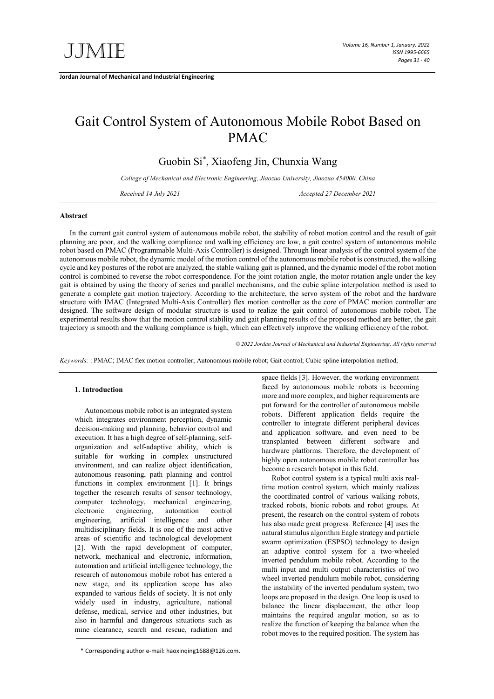**Jordan Journal of Mechanical and Industrial Engineering**

# Gait Control System of Autonomous Mobile Robot Based on PMAC

Guobin Si\* , Xiaofeng Jin, Chunxia Wang

*College of Mechanical and Electronic Engineering, Jiaozuo University, Jiaozuo 454000, China*

*Received 14 July 2021 Accepted 27 December 2021*

#### **Abstract**

In the current gait control system of autonomous mobile robot, the stability of robot motion control and the result of gait planning are poor, and the walking compliance and walking efficiency are low, a gait control system of autonomous mobile robot based on PMAC (Programmable Multi-Axis Controller) is designed. Through linear analysis of the control system of the autonomous mobile robot, the dynamic model of the motion control of the autonomous mobile robot is constructed, the walking cycle and key postures of the robot are analyzed, the stable walking gait is planned, and the dynamic model of the robot motion control is combined to reverse the robot correspondence. For the joint rotation angle, the motor rotation angle under the key gait is obtained by using the theory of series and parallel mechanisms, and the cubic spline interpolation method is used to generate a complete gait motion trajectory. According to the architecture, the servo system of the robot and the hardware structure with IMAC (Integrated Multi-Axis Controller) flex motion controller as the core of PMAC motion controller are designed. The software design of modular structure is used to realize the gait control of autonomous mobile robot. The experimental results show that the motion control stability and gait planning results of the proposed method are better, the gait trajectory is smooth and the walking compliance is high, which can effectively improve the walking efficiency of the robot.

*© 2022 Jordan Journal of Mechanical and Industrial Engineering. All rights reserved*

*Keywords:* : PMAC; IMAC flex motion controller; Autonomous mobile robot; Gait control; Cubic spline interpolation method;

# **1. Introduction**

Autonomous mobile robot is an integrated system which integrates environment perception, dynamic decision-making and planning, behavior control and execution. It has a high degree of self-planning, selforganization and self-adaptive ability, which is suitable for working in complex unstructured environment, and can realize object identification, autonomous reasoning, path planning and control functions in complex environment [1]. It brings together the research results of sensor technology, computer technology, mechanical engineering, electronic engineering, automation control engineering, artificial intelligence and other multidisciplinary fields. It is one of the most active areas of scientific and technological development [2]. With the rapid development of computer, network, mechanical and electronic, information, automation and artificial intelligence technology, the research of autonomous mobile robot has entered a new stage, and its application scope has also expanded to various fields of society. It is not only widely used in industry, agriculture, national defense, medical, service and other industries, but also in harmful and dangerous situations such as mine clearance, search and rescue, radiation and

\* Corresponding author e-mail: haoxinqing1688@126.com.

space fields [3]. However, the working environment faced by autonomous mobile robots is becoming more and more complex, and higher requirements are put forward for the controller of autonomous mobile robots. Different application fields require the controller to integrate different peripheral devices and application software, and even need to be transplanted between different software and hardware platforms. Therefore, the development of highly open autonomous mobile robot controller has become a research hotspot in this field.

Robot control system is a typical multi axis realtime motion control system, which mainly realizes the coordinated control of various walking robots, tracked robots, bionic robots and robot groups. At present, the research on the control system of robots has also made great progress. Reference [4] uses the natural stimulus algorithm Eagle strategy and particle swarm optimization (ESPSO) technology to design an adaptive control system for a two-wheeled inverted pendulum mobile robot. According to the multi input and multi output characteristics of two wheel inverted pendulum mobile robot, considering the instability of the inverted pendulum system, two loops are proposed in the design. One loop is used to balance the linear displacement, the other loop maintains the required angular motion, so as to realize the function of keeping the balance when the robot moves to the required position. The system has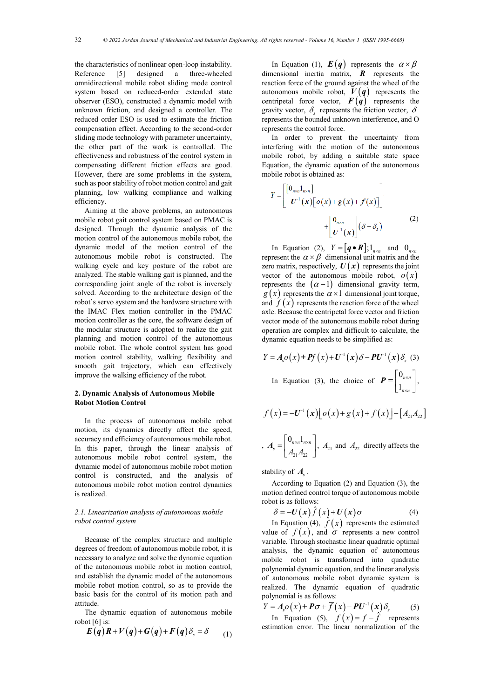the characteristics of nonlinear open-loop instability. Reference [5] designed a three-wheeled omnidirectional mobile robot sliding mode control system based on reduced-order extended state observer (ESO), constructed a dynamic model with unknown friction, and designed a controller. The reduced order ESO is used to estimate the friction compensation effect. According to the second-order sliding mode technology with parameter uncertainty, the other part of the work is controlled. The effectiveness and robustness of the control system in compensating different friction effects are good. However, there are some problems in the system, such as poor stability of robot motion control and gait planning, low walking compliance and walking efficiency.

Aiming at the above problems, an autonomous mobile robot gait control system based on PMAC is designed. Through the dynamic analysis of the motion control of the autonomous mobile robot, the dynamic model of the motion control of the autonomous mobile robot is constructed. The walking cycle and key posture of the robot are analyzed. The stable walking gait is planned, and the corresponding joint angle of the robot is inversely solved. According to the architecture design of the robot's servo system and the hardware structure with the IMAC Flex motion controller in the PMAC motion controller as the core, the software design of the modular structure is adopted to realize the gait planning and motion control of the autonomous mobile robot. The whole control system has good motion control stability, walking flexibility and smooth gait trajectory, which can effectively improve the walking efficiency of the robot.

# **2. Dynamic Analysis of Autonomous Mobile Robot Motion Control**

In the process of autonomous mobile robot motion, its dynamics directly affect the speed, accuracy and efficiency of autonomous mobile robot. In this paper, through the linear analysis of autonomous mobile robot control system, the dynamic model of autonomous mobile robot motion control is constructed, and the analysis of autonomous mobile robot motion control dynamics is realized.

# *2.1. Linearization analysis of autonomous mobile robot control system*

Because of the complex structure and multiple degrees of freedom of autonomous mobile robot, it is necessary to analyze and solve the dynamic equation of the autonomous mobile robot in motion control, and establish the dynamic model of the autonomous mobile robot motion control, so as to provide the basic basis for the control of its motion path and attitude.

The dynamic equation of autonomous mobile robot  $[6]$  is:

$$
E(q)R+V(q)+G(q)+F(q)\delta_{s}=\delta \qquad (1)
$$

In Equation (1),  $\mathbf{E}(q)$  represents the  $\alpha \times \beta$ dimensional inertia matrix, *R* represents the reaction force of the ground against the wheel of the autonomous mobile robot,  $V(q)$  represents the centripetal force vector,  $F(q)$  represents the gravity vector,  $\delta_{\rm s}$  represents the friction vector,  $\delta$ represents the bounded unknown interference, and O represents the control force.

In order to prevent the uncertainty from interfering with the motion of the autonomous mobile robot, by adding a suitable state space Equation, the dynamic equation of the autonomous mobile robot is obtained as:

$$
Y = \begin{bmatrix} \left[ 0_{\text{max}} 1_{\text{max}} \right] \\ -U^{-1}(\mathbf{x}) \left[ o(\mathbf{x}) + g(\mathbf{x}) + f(\mathbf{x}) \right] \end{bmatrix} + \begin{bmatrix} 0_{\text{max}} \\ U^{-1}(\mathbf{x}) \end{bmatrix} (\delta - \delta_{\text{s}})
$$
 (2)

In Equation (2),  $Y = [q \cdot R]$ ;  $\mathbf{1}_{n \times n}$  and  $\mathbf{0}_{n \times n}$ represent the  $\alpha \times \beta$  dimensional unit matrix and the zero matrix, respectively,  $U(x)$  represents the joint vector of the autonomous mobile robot,  $o(x)$ represents the  $(\alpha - 1)$  dimensional gravity term,  $g(x)$  represents the  $\alpha \times 1$  dimensional joint torque, and  $f(x)$  represents the reaction force of the wheel axle. Because the centripetal force vector and friction vector mode of the autonomous mobile robot during operation are complex and difficult to calculate, the dynamic equation needs to be simplified as:

$$
Y = A_s o(x) + Pf(x) + U^{-1}(x) \delta - PU^{-1}(x) \delta_s
$$
 (3)  
In Equation (3), the choice of  $P = \begin{bmatrix} 0_{n \times n} \\ 1_{n \times n} \end{bmatrix}$ ,

$$
f(x) = -U^{-1}(x)\left[\sigma(x) + g(x) + f(x)\right] - \left[A_{21}A_{22}\right]
$$
  
, 
$$
A_s = \begin{bmatrix} 0_{n \times n} 1_{n \times n} \\ A_{21} A_{22} \end{bmatrix}, A_{21} \text{ and } A_{22} \text{ directly affects the}
$$

stability of  $A_{\rm s}$ .

According to Equation (2) and Equation (3), the motion defined control torque of autonomous mobile robot is as follows:

$$
\delta = -U(x)\hat{f}(x) + U(x)\sigma \tag{4}
$$

In Equation (4),  $\hat{f}(x)$  represents the estimated value of  $f(x)$ , and  $\sigma$  represents a new control variable. Through stochastic linear quadratic optimal analysis, the dynamic equation of autonomous mobile robot is transformed into quadratic polynomial dynamic equation, and the linear analysis of autonomous mobile robot dynamic system is realized. The dynamic equation of quadratic polynomial is as follows:

$$
Y = As o(x) + P \sigma + \overline{f}(x) - P U-1(x) \deltas
$$
 (5)

In Equation (5),  $\overline{f}(x) = f - \hat{f}$  represents estimation error. The linear normalization of the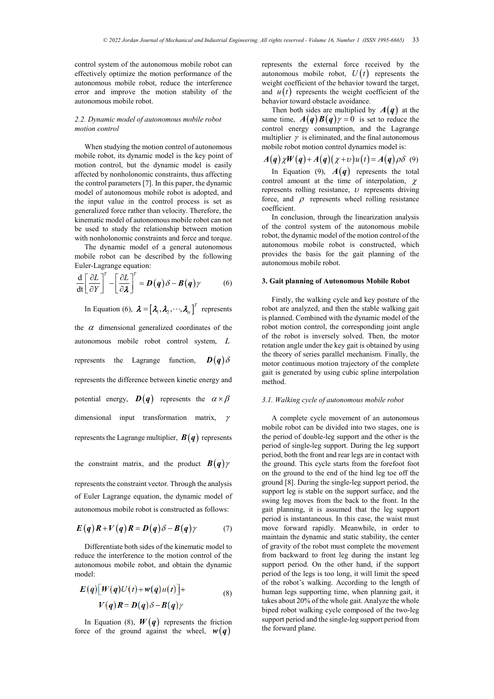control system of the autonomous mobile robot can effectively optimize the motion performance of the autonomous mobile robot, reduce the interference error and improve the motion stability of the autonomous mobile robot.

## *2.2. Dynamic model of autonomous mobile robot motion control*

When studying the motion control of autonomous mobile robot, its dynamic model is the key point of motion control, but the dynamic model is easily affected by nonholonomic constraints, thus affecting the control parameters [7]. In this paper, the dynamic model of autonomous mobile robot is adopted, and the input value in the control process is set as generalized force rather than velocity. Therefore, the kinematic model of autonomous mobile robot can not be used to study the relationship between motion with nonholonomic constraints and force and torque.

The dynamic model of a general autonomous mobile robot can be described by the following Euler-Lagrange equation:

$$
\frac{\mathrm{d}}{\mathrm{dt}} \left[ \frac{\partial L}{\partial Y} \right]^T - \left[ \frac{\partial L}{\partial \lambda} \right]^T = \mathbf{D}(\mathbf{q}) \delta - \mathbf{B}(\mathbf{q}) \gamma \tag{6}
$$

In Equation (6),  $\boldsymbol{\lambda} = [\lambda_1, \lambda_2, \cdots, \lambda_\alpha]^T$  represents the  $\alpha$  dimensional generalized coordinates of the autonomous mobile robot control system, *L* represents the Lagrange function,  $\mathbf{D}(\mathbf{q})\delta$ represents the difference between kinetic energy and potential energy,  $\mathbf{D}(\mathbf{q})$  represents the  $\alpha \times \beta$ dimensional input transformation matrix, γ represents the Lagrange multiplier,  $B(q)$  represents

the constraint matrix, and the product  $B(q)$   $\gamma$ 

represents the constraint vector. Through the analysis of Euler Lagrange equation, the dynamic model of autonomous mobile robot is constructed as follows:

$$
E(q)R + V(q)R = D(q)\delta - B(q)\gamma \tag{7}
$$

Differentiate both sides of the kinematic model to reduce the interference to the motion control of the autonomous mobile robot, and obtain the dynamic model:

$$
E(q)[W(q)U(t)+w(q)u(t)]+V(q)R=D(q)\delta-B(q)\gamma
$$
\n(8)

In Equation (8),  $W(q)$  represents the friction force of the ground against the wheel,  $w(q)$ 

represents the external force received by the autonomous mobile robot,  $U(t)$  represents the weight coefficient of the behavior toward the target, and  $u(t)$  represents the weight coefficient of the behavior toward obstacle avoidance.

Then both sides are multiplied by  $A(q)$  at the same time,  $A(q)B(q) \gamma = 0$  is set to reduce the control energy consumption, and the Lagrange multiplier  $\gamma$  is eliminated, and the final autonomous mobile robot motion control dynamics model is:

$$
A(q)\chi W(q)+A(q)(\chi+\nu)u(t)=A(q)\rho\delta\quad(9)
$$

In Equation (9),  $A(q)$  represents the total control amount at the time of interpolation,  $\chi$ represents rolling resistance,  $\upsilon$  represents driving force, and  $\rho$  represents wheel rolling resistance coefficient.

In conclusion, through the linearization analysis of the control system of the autonomous mobile robot, the dynamic model of the motion control of the autonomous mobile robot is constructed, which provides the basis for the gait planning of the autonomous mobile robot.

## **3. Gait planning of Autonomous Mobile Robot**

Firstly, the walking cycle and key posture of the robot are analyzed, and then the stable walking gait is planned. Combined with the dynamic model of the robot motion control, the corresponding joint angle of the robot is inversely solved. Then, the motor rotation angle under the key gait is obtained by using the theory of series parallel mechanism. Finally, the motor continuous motion trajectory of the complete gait is generated by using cubic spline interpolation method.

#### *3.1. Walking cycle of autonomous mobile robot*

A complete cycle movement of an autonomous mobile robot can be divided into two stages, one is the period of double-leg support and the other is the period of single-leg support. During the leg support period, both the front and rear legs are in contact with the ground. This cycle starts from the forefoot foot on the ground to the end of the hind leg toe off the ground [8]. During the single-leg support period, the support leg is stable on the support surface, and the swing leg moves from the back to the front. In the gait planning, it is assumed that the leg support period is instantaneous. In this case, the waist must move forward rapidly. Meanwhile, in order to maintain the dynamic and static stability, the center of gravity of the robot must complete the movement from backward to front leg during the instant leg support period. On the other hand, if the support period of the legs is too long, it will limit the speed of the robot's walking. According to the length of human legs supporting time, when planning gait, it takes about 20% of the whole gait. Analyze the whole biped robot walking cycle composed of the two-leg support period and the single-leg support period from the forward plane.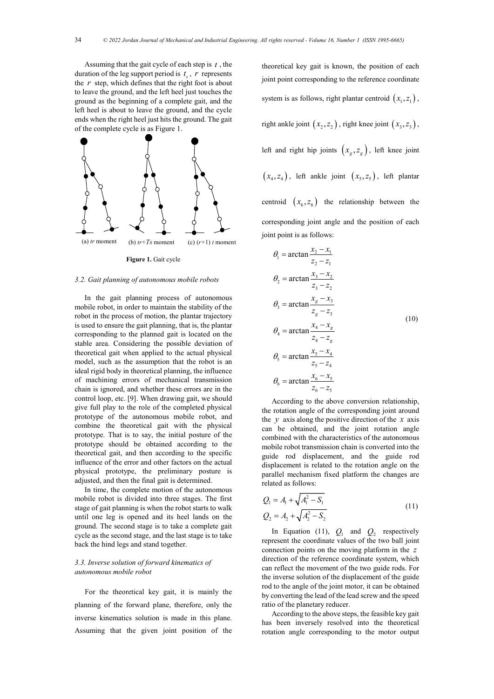Assuming that the gait cycle of each step is *t* , the duration of the leg support period is  $t<sub>s</sub>$ ,  $r$  represents the *r* step, which defines that the right foot is about to leave the ground, and the left heel just touches the ground as the beginning of a complete gait, and the left heel is about to leave the ground, and the cycle ends when the right heel just hits the ground. The gait of the complete cycle is as Figure 1.



**Figure 1.** Gait cycle

# *3.2. Gait planning of autonomous mobile robots*

In the gait planning process of autonomous mobile robot, in order to maintain the stability of the robot in the process of motion, the plantar trajectory is used to ensure the gait planning, that is, the plantar corresponding to the planned gait is located on the stable area. Considering the possible deviation of theoretical gait when applied to the actual physical model, such as the assumption that the robot is an ideal rigid body in theoretical planning, the influence of machining errors of mechanical transmission chain is ignored, and whether these errors are in the control loop, etc. [9]. When drawing gait, we should give full play to the role of the completed physical prototype of the autonomous mobile robot, and combine the theoretical gait with the physical prototype. That is to say, the initial posture of the prototype should be obtained according to the theoretical gait, and then according to the specific influence of the error and other factors on the actual physical prototype, the preliminary posture is adjusted, and then the final gait is determined.

In time, the complete motion of the autonomous mobile robot is divided into three stages. The first stage of gait planning is when the robot starts to walk until one leg is opened and its heel lands on the ground. The second stage is to take a complete gait cycle as the second stage, and the last stage is to take back the hind legs and stand together.

# *3.3. Inverse solution of forward kinematics of autonomous mobile robot*

For the theoretical key gait, it is mainly the planning of the forward plane, therefore, only the inverse kinematics solution is made in this plane. Assuming that the given joint position of the

theoretical key gait is known, the position of each joint point corresponding to the reference coordinate system is as follows, right plantar centroid  $(x_1, z_1)$ , right ankle joint  $(x_2, z_2)$ , right knee joint  $(x_3, z_3)$ , left and right hip joints  $(x_g, z_g)$ , left knee joint  $(x_4, z_4)$ , left ankle joint  $(x_5, z_5)$ , left plantar centroid  $(x_6, z_6)$  the relationship between the corresponding joint angle and the position of each joint point is as follows:

$$
\theta_1 = \arctan \frac{x_2 - x_1}{z_2 - z_1}
$$
\n
$$
\theta_2 = \arctan \frac{x_3 - x_2}{z_3 - z_2}
$$
\n
$$
\theta_3 = \arctan \frac{x_s - x_3}{z_s - z_3}
$$
\n
$$
\theta_4 = \arctan \frac{x_4 - x_g}{z_4 - z_g}
$$
\n
$$
\theta_5 = \arctan \frac{x_5 - x_4}{z_5 - z_4}
$$
\n
$$
\theta_6 = \arctan \frac{x_6 - x_5}{z_6 - z_5}
$$
\n(10)

According to the above conversion relationship, the rotation angle of the corresponding joint around the  $\nu$  axis along the positive direction of the  $\chi$  axis can be obtained, and the joint rotation angle combined with the characteristics of the autonomous mobile robot transmission chain is converted into the guide rod displacement, and the guide rod displacement is related to the rotation angle on the parallel mechanism fixed platform the changes are related as follows:

$$
Q_1 = A_1 + \sqrt{A_1^2 - S_1}
$$
  
\n
$$
Q_2 = A_2 + \sqrt{A_2^2 - S_2}
$$
\n(11)

In Equation (11),  $Q_1$  and  $Q_2$  respectively represent the coordinate values of the two ball joint connection points on the moving platform in the *z* direction of the reference coordinate system, which can reflect the movement of the two guide rods. For the inverse solution of the displacement of the guide rod to the angle of the joint motor, it can be obtained by converting the lead of the lead screw and the speed ratio of the planetary reducer.

According to the above steps, the feasible key gait has been inversely resolved into the theoretical rotation angle corresponding to the motor output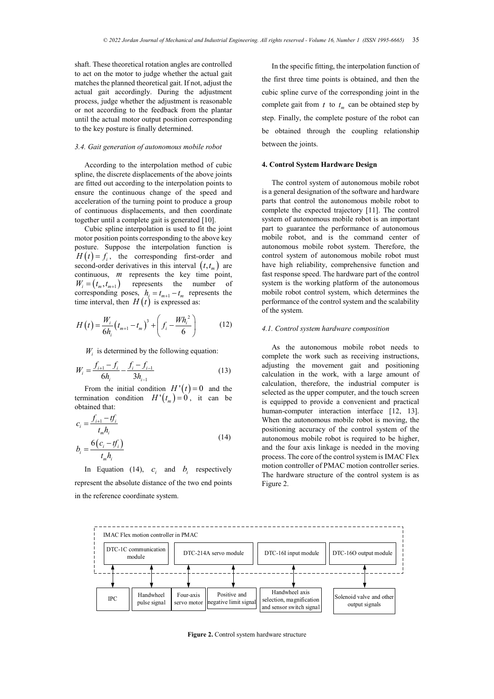shaft. These theoretical rotation angles are controlled to act on the motor to judge whether the actual gait matches the planned theoretical gait. If not, adjust the actual gait accordingly. During the adjustment process, judge whether the adjustment is reasonable or not according to the feedback from the plantar until the actual motor output position corresponding to the key posture is finally determined.

#### *3.4. Gait generation of autonomous mobile robot*

According to the interpolation method of cubic spline, the discrete displacements of the above joints are fitted out according to the interpolation points to ensure the continuous change of the speed and acceleration of the turning point to produce a group of continuous displacements, and then coordinate together until a complete gait is generated [10].

Cubic spline interpolation is used to fit the joint motor position points corresponding to the above key posture. Suppose the interpolation function is  $H(t) = f_i$ , the corresponding first-order and second-order derivatives in this interval  $(t, t_m)$  are continuous, *m* represents the key time point,  $W_i = (t_m, t_{m+1})$  represents the number of corresponding poses,  $h_i = t_{m+1} - t_m$  represents the time interval, then  $H(t)$  is expressed as:

$$
H\left(t\right) = \frac{W_i}{6h_i} \left(t_{m+1} - t_m\right)^3 + \left(f_i - \frac{Wh_i^2}{6}\right) \tag{12}
$$

 $W_i$  is determined by the following equation:

$$
W_i = \frac{f_{i+1} - f_i}{6h_i} - \frac{f_i - f_{i-1}}{3h_{i-1}}
$$
(13)

From the initial condition  $H'(t) = 0$  and the termination condition  $H'(t_m) = 0$ , it can be obtained that:

$$
c_i = \frac{f_{i+1} - tf_i}{t_m h_i}
$$
  

$$
b_i = \frac{6(c_i - tf_i)}{t_m h_i}
$$
 (14)

In Equation (14),  $c_i$  and  $b_i$  respectively represent the absolute distance of the two end points in the reference coordinate system.

In the specific fitting, the interpolation function of the first three time points is obtained, and then the cubic spline curve of the corresponding joint in the complete gait from  $t$  to  $t_m$  can be obtained step by step. Finally, the complete posture of the robot can be obtained through the coupling relationship between the joints.

## **4. Control System Hardware Design**

The control system of autonomous mobile robot is a general designation of the software and hardware parts that control the autonomous mobile robot to complete the expected trajectory [11]. The control system of autonomous mobile robot is an important part to guarantee the performance of autonomous mobile robot, and is the command center of autonomous mobile robot system. Therefore, the control system of autonomous mobile robot must have high reliability, comprehensive function and fast response speed. The hardware part of the control system is the working platform of the autonomous mobile robot control system, which determines the performance of the control system and the scalability of the system.

#### *4.1. Control system hardware composition*

As the autonomous mobile robot needs to complete the work such as receiving instructions, adjusting the movement gait and positioning calculation in the work, with a large amount of calculation, therefore, the industrial computer is selected as the upper computer, and the touch screen is equipped to provide a convenient and practical human-computer interaction interface [12, 13]. When the autonomous mobile robot is moving, the positioning accuracy of the control system of the autonomous mobile robot is required to be higher, and the four axis linkage is needed in the moving process. The core of the control system is IMAC Flex motion controller of PMAC motion controller series. The hardware structure of the control system is as Figure 2.



**Figure 2.** Control system hardware structure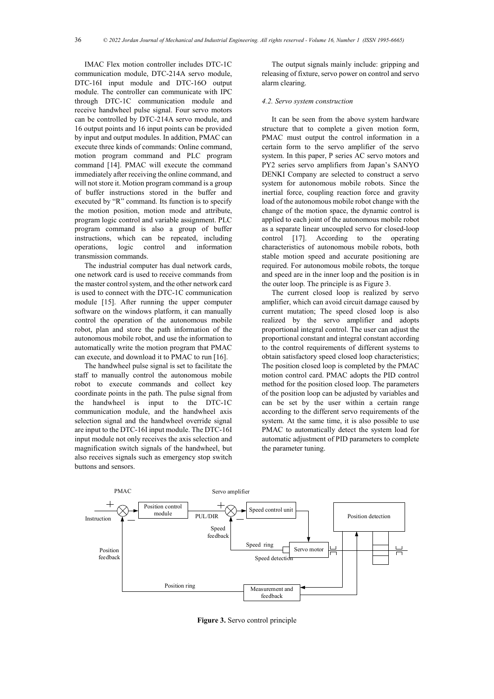IMAC Flex motion controller includes DTC-1C communication module, DTC-214A servo module, DTC-16I input module and DTC-16O output module. The controller can communicate with IPC through DTC-1C communication module and receive handwheel pulse signal. Four servo motors can be controlled by DTC-214A servo module, and 16 output points and 16 input points can be provided by input and output modules. In addition, PMAC can execute three kinds of commands: Online command, motion program command and PLC program command [14]. PMAC will execute the command immediately after receiving the online command, and will not store it. Motion program command is a group of buffer instructions stored in the buffer and executed by "R" command. Its function is to specify the motion position, motion mode and attribute, program logic control and variable assignment. PLC program command is also a group of buffer instructions, which can be repeated, including operations, logic control and information transmission commands.

The industrial computer has dual network cards, one network card is used to receive commands from the master control system, and the other network card is used to connect with the DTC-1C communication module [15]. After running the upper computer software on the windows platform, it can manually control the operation of the autonomous mobile robot, plan and store the path information of the autonomous mobile robot, and use the information to automatically write the motion program that PMAC can execute, and download it to PMAC to run [16].

The handwheel pulse signal is set to facilitate the staff to manually control the autonomous mobile robot to execute commands and collect key coordinate points in the path. The pulse signal from the handwheel is input to the DTC-1C communication module, and the handwheel axis selection signal and the handwheel override signal are input to the DTC-16I input module. The DTC-16I input module not only receives the axis selection and magnification switch signals of the handwheel, but also receives signals such as emergency stop switch buttons and sensors.

The output signals mainly include: gripping and releasing of fixture, servo power on control and servo alarm clearing.

#### *4.2. Servo system construction*

It can be seen from the above system hardware structure that to complete a given motion form, PMAC must output the control information in a certain form to the servo amplifier of the servo system. In this paper, P series AC servo motors and PY2 series servo amplifiers from Japan's SANYO DENKI Company are selected to construct a servo system for autonomous mobile robots. Since the inertial force, coupling reaction force and gravity load of the autonomous mobile robot change with the change of the motion space, the dynamic control is applied to each joint of the autonomous mobile robot as a separate linear uncoupled servo for closed-loop control [17]. According to the operating characteristics of autonomous mobile robots, both stable motion speed and accurate positioning are required. For autonomous mobile robots, the torque and speed are in the inner loop and the position is in the outer loop. The principle is as Figure 3.

The current closed loop is realized by servo amplifier, which can avoid circuit damage caused by current mutation; The speed closed loop is also realized by the servo amplifier and adopts proportional integral control. The user can adjust the proportional constant and integral constant according to the control requirements of different systems to obtain satisfactory speed closed loop characteristics; The position closed loop is completed by the PMAC motion control card. PMAC adopts the PID control method for the position closed loop. The parameters of the position loop can be adjusted by variables and can be set by the user within a certain range according to the different servo requirements of the system. At the same time, it is also possible to use PMAC to automatically detect the system load for automatic adjustment of PID parameters to complete the parameter tuning.



**Figure 3.** Servo control principle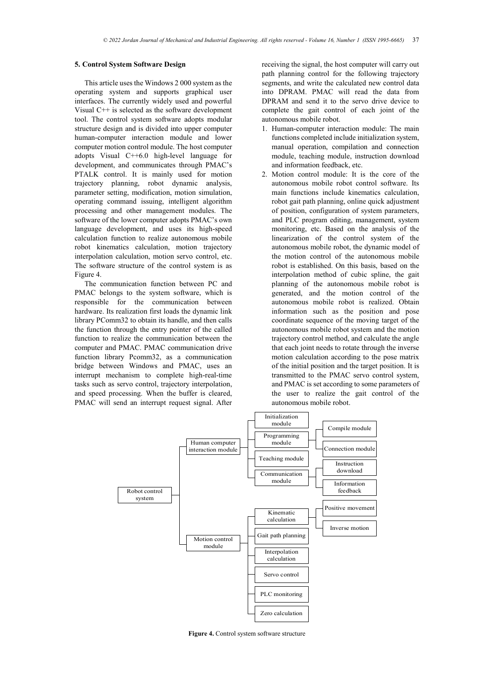# **5. Control System Software Design**

This article uses the Windows 2 000 system as the operating system and supports graphical user interfaces. The currently widely used and powerful Visual C++ is selected as the software development tool. The control system software adopts modular structure design and is divided into upper computer human-computer interaction module and lower computer motion control module. The host computer adopts Visual C++6.0 high-level language for development, and communicates through PMAC's PTALK control. It is mainly used for motion trajectory planning, robot dynamic analysis, parameter setting, modification, motion simulation, operating command issuing, intelligent algorithm processing and other management modules. The software of the lower computer adopts PMAC's own language development, and uses its high-speed calculation function to realize autonomous mobile robot kinematics calculation, motion trajectory interpolation calculation, motion servo control, etc. The software structure of the control system is as Figure 4.

The communication function between PC and PMAC belongs to the system software, which is responsible for the communication between hardware. Its realization first loads the dynamic link library PComm32 to obtain its handle, and then calls the function through the entry pointer of the called function to realize the communication between the computer and PMAC. PMAC communication drive function library Pcomm32, as a communication bridge between Windows and PMAC, uses an interrupt mechanism to complete high-real-time tasks such as servo control, trajectory interpolation, and speed processing. When the buffer is cleared, PMAC will send an interrupt request signal. After

receiving the signal, the host computer will carry out path planning control for the following trajectory segments, and write the calculated new control data into DPRAM. PMAC will read the data from DPRAM and send it to the servo drive device to complete the gait control of each joint of the autonomous mobile robot.

- 1. Human-computer interaction module: The main functions completed include initialization system, manual operation, compilation and connection module, teaching module, instruction download and information feedback, etc.
- 2. Motion control module: It is the core of the autonomous mobile robot control software. Its main functions include kinematics calculation, robot gait path planning, online quick adjustment of position, configuration of system parameters, and PLC program editing, management, system monitoring, etc. Based on the analysis of the linearization of the control system of the autonomous mobile robot, the dynamic model of the motion control of the autonomous mobile robot is established. On this basis, based on the interpolation method of cubic spline, the gait planning of the autonomous mobile robot is generated, and the motion control of the autonomous mobile robot is realized. Obtain information such as the position and pose coordinate sequence of the moving target of the autonomous mobile robot system and the motion trajectory control method, and calculate the angle that each joint needs to rotate through the inverse motion calculation according to the pose matrix of the initial position and the target position. It is transmitted to the PMAC servo control system, and PMAC is set according to some parameters of the user to realize the gait control of the autonomous mobile robot.



**Figure 4.** Control system software structure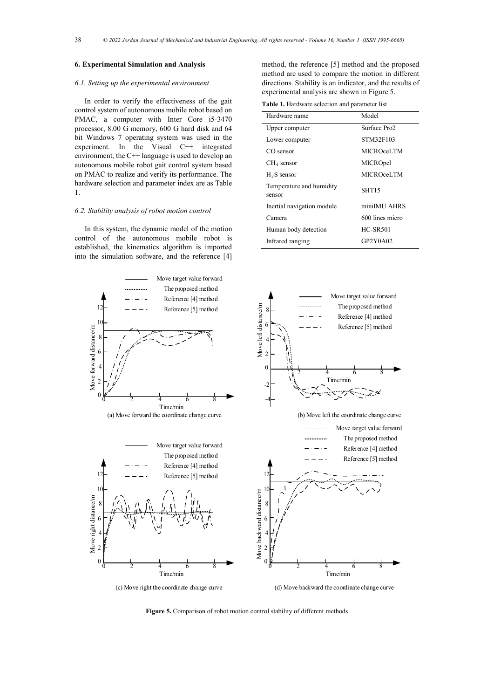# **6. Experimental Simulation and Analysis**

#### *6.1. Setting up the experimental environment*

In order to verify the effectiveness of the gait control system of autonomous mobile robot based on PMAC, a computer with Inter Core i5-3470 processor, 8.00 G memory, 600 G hard disk and 64 bit Windows 7 operating system was used in the experiment. In the Visual C++ integrated environment, the C++ language is used to develop an autonomous mobile robot gait control system based on PMAC to realize and verify its performance. The hardware selection and parameter index are as Table 1.

# *6.2. Stability analysis of robot motion control*

In this system, the dynamic model of the motion control of the autonomous mobile robot is established, the kinematics algorithm is imported into the simulation software, and the reference [4]

method, the reference [5] method and the proposed method are used to compare the motion in different directions. Stability is an indicator, and the results of experimental analysis are shown in Figure 5.

**Table 1.** Hardware selection and parameter list

| Hardware name                      | Model             |
|------------------------------------|-------------------|
| Upper computer                     | Surface Pro2      |
| Lower computer                     | STM32F103         |
| CO sensor                          | MICROceLTM        |
| $CH4$ sensor                       | MICROpel          |
| $H2S$ sensor                       | MICROceLTM        |
| Temperature and humidity<br>sensor | SHT <sub>15</sub> |
| Inertial navigation module         | miniMU AHRS       |
| Camera                             | 600 lines micro   |
| Human body detection               | <b>HC-SR501</b>   |
| Infrared ranging                   | GP2Y0A02          |



**Figure 5.** Comparison of robot motion control stability of different methods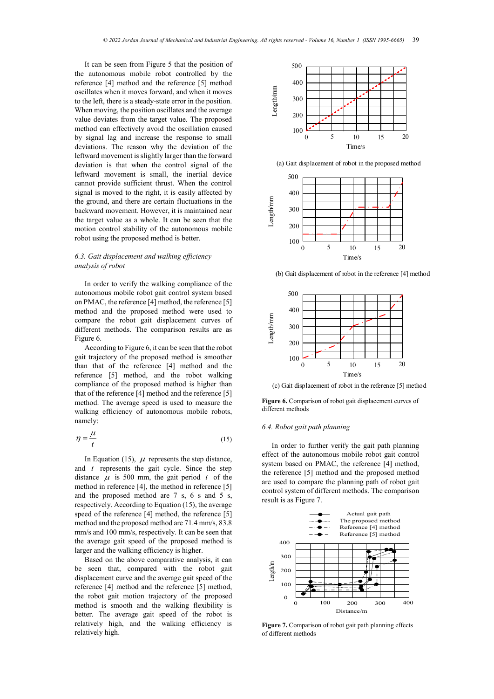It can be seen from Figure 5 that the position of the autonomous mobile robot controlled by the reference [4] method and the reference [5] method oscillates when it moves forward, and when it moves to the left, there is a steady-state error in the position. When moving, the position oscillates and the average value deviates from the target value. The proposed method can effectively avoid the oscillation caused by signal lag and increase the response to small deviations. The reason why the deviation of the leftward movement is slightly larger than the forward deviation is that when the control signal of the leftward movement is small, the inertial device cannot provide sufficient thrust. When the control signal is moved to the right, it is easily affected by the ground, and there are certain fluctuations in the backward movement. However, it is maintained near the target value as a whole. It can be seen that the motion control stability of the autonomous mobile robot using the proposed method is better.

# *6.3. Gait displacement and walking efficiency analysis of robot*

In order to verify the walking compliance of the autonomous mobile robot gait control system based on PMAC, the reference [4] method, the reference [5] method and the proposed method were used to compare the robot gait displacement curves of different methods. The comparison results are as Figure 6.

According to Figure 6, it can be seen that the robot gait trajectory of the proposed method is smoother than that of the reference [4] method and the reference [5] method, and the robot walking compliance of the proposed method is higher than that of the reference [4] method and the reference [5] method. The average speed is used to measure the walking efficiency of autonomous mobile robots, namely:

$$
\eta = \frac{\mu}{t} \tag{15}
$$

In Equation (15),  $\mu$  represents the step distance, and *t* represents the gait cycle. Since the step distance  $\mu$  is 500 mm, the gait period  $t$  of the method in reference [4], the method in reference [5] and the proposed method are 7 s, 6 s and 5 s, respectively. According to Equation (15), the average speed of the reference [4] method, the reference [5] method and the proposed method are 71.4 mm/s, 83.8 mm/s and 100 mm/s, respectively. It can be seen that the average gait speed of the proposed method is larger and the walking efficiency is higher.

Based on the above comparative analysis, it can be seen that, compared with the robot gait displacement curve and the average gait speed of the reference [4] method and the reference [5] method, the robot gait motion trajectory of the proposed method is smooth and the walking flexibility is better. The average gait speed of the robot is relatively high, and the walking efficiency is relatively high.



(a) Gait displacement of robot in the proposed method



(b) Gait displacement of robot in the reference [4] method



(c) Gait displacement of robot in the reference [5] method

**Figure 6.** Comparison of robot gait displacement curves of different methods

# *6.4. Robot gait path planning*

In order to further verify the gait path planning effect of the autonomous mobile robot gait control system based on PMAC, the reference [4] method, the reference [5] method and the proposed method are used to compare the planning path of robot gait control system of different methods. The comparison result is as Figure 7.



**Figure 7.** Comparison of robot gait path planning effects of different methods